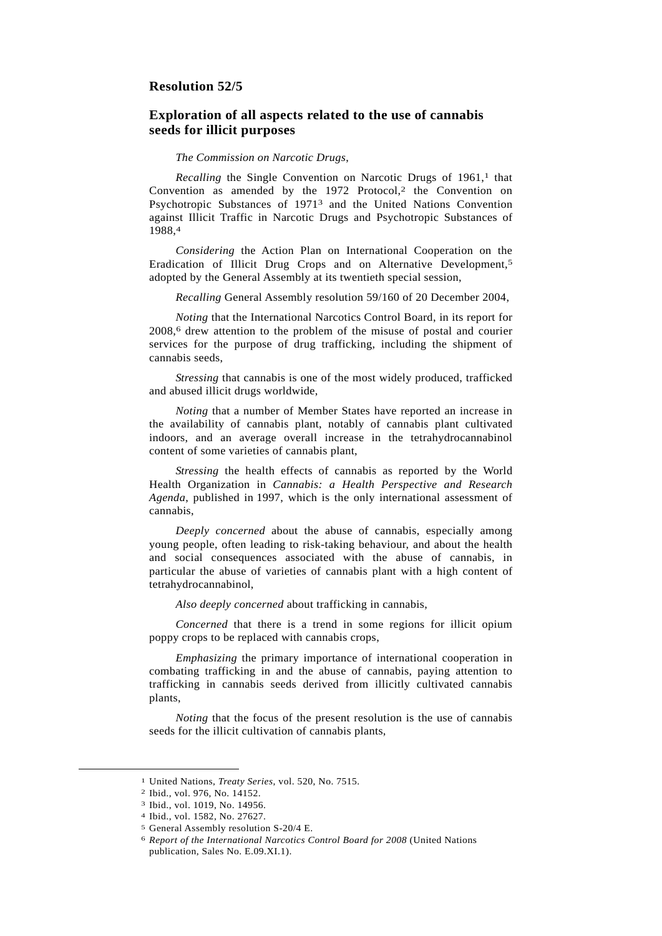## **Resolution 52/5**

## **Exploration of all aspects related to the use of cannabis seeds for illicit purposes**

## *The Commission on Narcotic Drugs*,

*Recalling* the Single Convention on Narcotic Drugs of 1961,<sup>1</sup> that Convention as amended by the  $1972$  Protocol,<sup>2</sup> the Convention on Psychotropic Substances of 19713 and the United Nations Convention against Illicit Traffic in Narcotic Drugs and Psychotropic Substances of 1988,4

*Considering* the Action Plan on International Cooperation on the Eradication of Illicit Drug Crops and on Alternative Development,5 adopted by the General Assembly at its twentieth special session,

*Recalling* General Assembly resolution 59/160 of 20 December 2004,

*Noting* that the International Narcotics Control Board, in its report for 2008,6 drew attention to the problem of the misuse of postal and courier services for the purpose of drug trafficking, including the shipment of cannabis seeds,

*Stressing* that cannabis is one of the most widely produced, trafficked and abused illicit drugs worldwide,

*Noting* that a number of Member States have reported an increase in the availability of cannabis plant, notably of cannabis plant cultivated indoors, and an average overall increase in the tetrahydrocannabinol content of some varieties of cannabis plant,

*Stressing* the health effects of cannabis as reported by the World Health Organization in *Cannabis: a Health Perspective and Research Agenda*, published in 1997, which is the only international assessment of cannabis,

*Deeply concerned* about the abuse of cannabis, especially among young people, often leading to risk-taking behaviour, and about the health and social consequences associated with the abuse of cannabis, in particular the abuse of varieties of cannabis plant with a high content of tetrahydrocannabinol,

*Also deeply concerned* about trafficking in cannabis,

*Concerned* that there is a trend in some regions for illicit opium poppy crops to be replaced with cannabis crops,

*Emphasizing* the primary importance of international cooperation in combating trafficking in and the abuse of cannabis, paying attention to trafficking in cannabis seeds derived from illicitly cultivated cannabis plants,

*Noting* that the focus of the present resolution is the use of cannabis seeds for the illicit cultivation of cannabis plants,

 <sup>1</sup> United Nations, *Treaty Series*, vol. 520, No. 7515.

<sup>2</sup> Ibid., vol. 976, No. 14152.

<sup>3</sup> Ibid., vol. 1019, No. 14956.

<sup>4</sup> Ibid., vol. 1582, No. 27627.

<sup>5</sup> General Assembly resolution S-20/4 E.

<sup>6</sup> *Report of the International Narcotics Control Board for 2008* (United Nations publication, Sales No. E.09.XI.1).